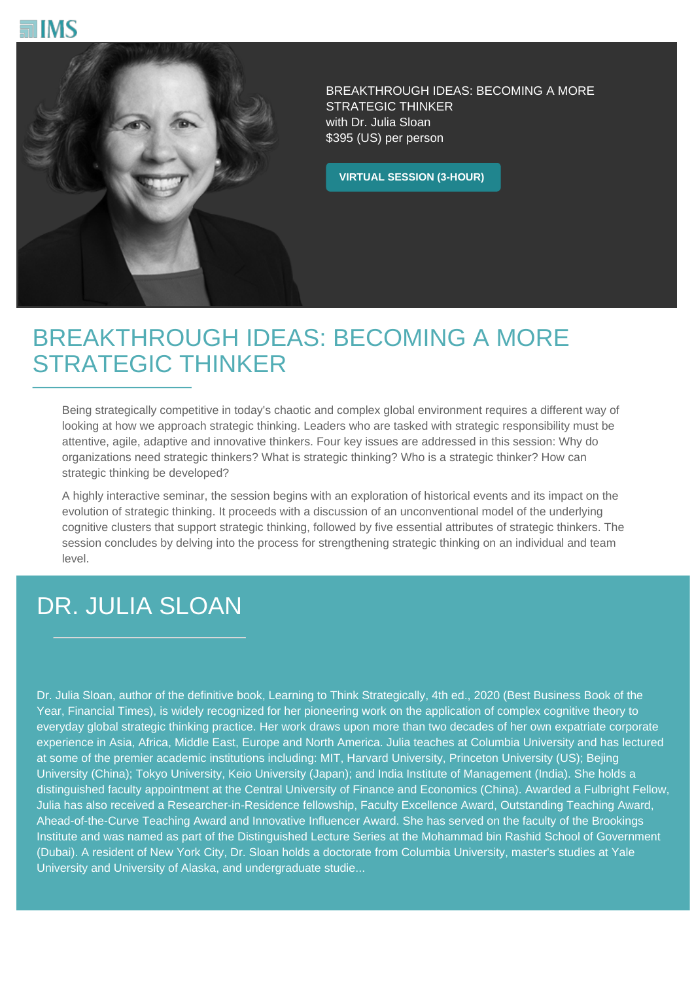



BREAKTHROUGH IDEAS: BECOMING A MORE STRATEGIC THINKER with Dr. Julia Sloan \$395 (US) per person

**VIRTUAL SESSION (3-HOUR)**

## BREAKTHROUGH IDEAS: BECOMING A MORE STRATEGIC THINKER

Being strategically competitive in today's chaotic and complex global environment requires a different way of looking at how we approach strategic thinking. Leaders who are tasked with strategic responsibility must be attentive, agile, adaptive and innovative thinkers. Four key issues are addressed in this session: Why do organizations need strategic thinkers? What is strategic thinking? Who is a strategic thinker? How can strategic thinking be developed?

A highly interactive seminar, the session begins with an exploration of historical events and its impact on the evolution of strategic thinking. It proceeds with a discussion of an unconventional model of the underlying cognitive clusters that support strategic thinking, followed by five essential attributes of strategic thinkers. The session concludes by delving into the process for strengthening strategic thinking on an individual and team level.

## DR. JULIA SLOAN

Dr. Julia Sloan, author of the definitive book, Learning to Think Strategically, 4th ed., 2020 (Best Business Book of the Year, Financial Times), is widely recognized for her pioneering work on the application of complex cognitive theory to everyday global strategic thinking practice. Her work draws upon more than two decades of her own expatriate corporate experience in Asia, Africa, Middle East, Europe and North America. Julia teaches at Columbia University and has lectured at some of the premier academic institutions including: MIT, Harvard University, Princeton University (US); Bejing University (China); Tokyo University, Keio University (Japan); and India Institute of Management (India). She holds a distinguished faculty appointment at the Central University of Finance and Economics (China). Awarded a Fulbright Fellow, Julia has also received a Researcher-in-Residence fellowship, Faculty Excellence Award, Outstanding Teaching Award, Ahead-of-the-Curve Teaching Award and Innovative Influencer Award. She has served on the faculty of the Brookings Institute and was named as part of the Distinguished Lecture Series at the Mohammad bin Rashid School of Government (Dubai). A resident of New York City, Dr. Sloan holds a doctorate from Columbia University, master's studies at Yale University and University of Alaska, and undergraduate studie...